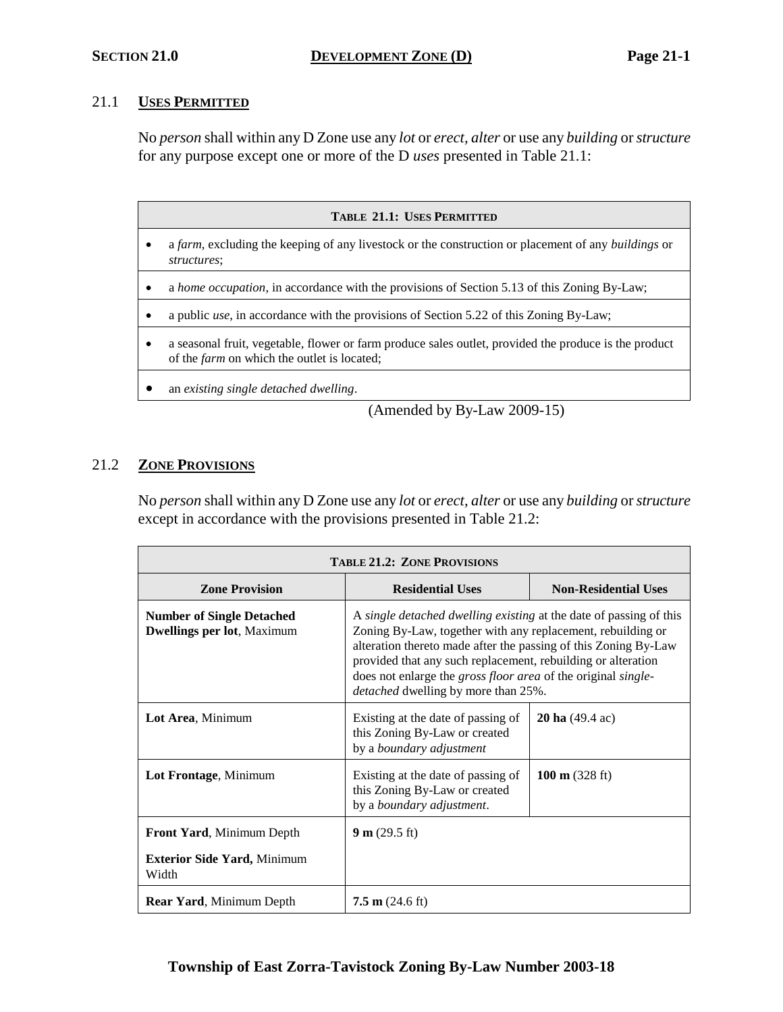### 21.1 **USES PERMITTED**

No *person* shall within any D Zone use any *lot* or *erect, alter* or use any *building* or *structure* for any purpose except one or more of the D *uses* presented in Table 21.1:

| <b>TABLE 21.1: USES PERMITTED</b> |                                                                                                                                                             |  |  |
|-----------------------------------|-------------------------------------------------------------------------------------------------------------------------------------------------------------|--|--|
|                                   | a farm, excluding the keeping of any livestock or the construction or placement of any buildings or<br>structures;                                          |  |  |
|                                   | a home occupation, in accordance with the provisions of Section 5.13 of this Zoning By-Law;                                                                 |  |  |
|                                   | a public use, in accordance with the provisions of Section 5.22 of this Zoning By-Law;                                                                      |  |  |
| ٠                                 | a seasonal fruit, vegetable, flower or farm produce sales outlet, provided the produce is the product<br>of the <i>farm</i> on which the outlet is located; |  |  |
|                                   | an existing single detached dwelling.                                                                                                                       |  |  |

# (Amended by By-Law 2009-15)

### 21.2 **ZONE PROVISIONS**

No *person* shall within any D Zone use any *lot* or *erect, alter* or use any *building* or *structure* except in accordance with the provisions presented in Table 21.2:

| <b>TABLE 21.2: ZONE PROVISIONS</b>                                              |                                                                                                                                                                                                                                                                                                                                                                                             |                                  |  |  |  |
|---------------------------------------------------------------------------------|---------------------------------------------------------------------------------------------------------------------------------------------------------------------------------------------------------------------------------------------------------------------------------------------------------------------------------------------------------------------------------------------|----------------------------------|--|--|--|
| <b>Zone Provision</b>                                                           | <b>Residential Uses</b>                                                                                                                                                                                                                                                                                                                                                                     | <b>Non-Residential Uses</b>      |  |  |  |
| <b>Number of Single Detached</b><br><b>Dwellings per lot, Maximum</b>           | A single detached dwelling existing at the date of passing of this<br>Zoning By-Law, together with any replacement, rebuilding or<br>alteration thereto made after the passing of this Zoning By-Law<br>provided that any such replacement, rebuilding or alteration<br>does not enlarge the <i>gross floor area</i> of the original <i>single</i> -<br>detached dwelling by more than 25%. |                                  |  |  |  |
| Lot Area, Minimum                                                               | Existing at the date of passing of<br>this Zoning By-Law or created<br>by a boundary adjustment                                                                                                                                                                                                                                                                                             | <b>20 ha</b> $(49.4 \text{ ac})$ |  |  |  |
| Lot Frontage, Minimum                                                           | Existing at the date of passing of<br>this Zoning By-Law or created<br>by a boundary adjustment.                                                                                                                                                                                                                                                                                            | 100 m $(328 \text{ ft})$         |  |  |  |
| <b>Front Yard, Minimum Depth</b><br><b>Exterior Side Yard, Minimum</b><br>Width | $9 \text{ m} (29.5 \text{ ft})$                                                                                                                                                                                                                                                                                                                                                             |                                  |  |  |  |
| <b>Rear Yard, Minimum Depth</b>                                                 | $7.5 \text{ m}$ (24.6 ft)                                                                                                                                                                                                                                                                                                                                                                   |                                  |  |  |  |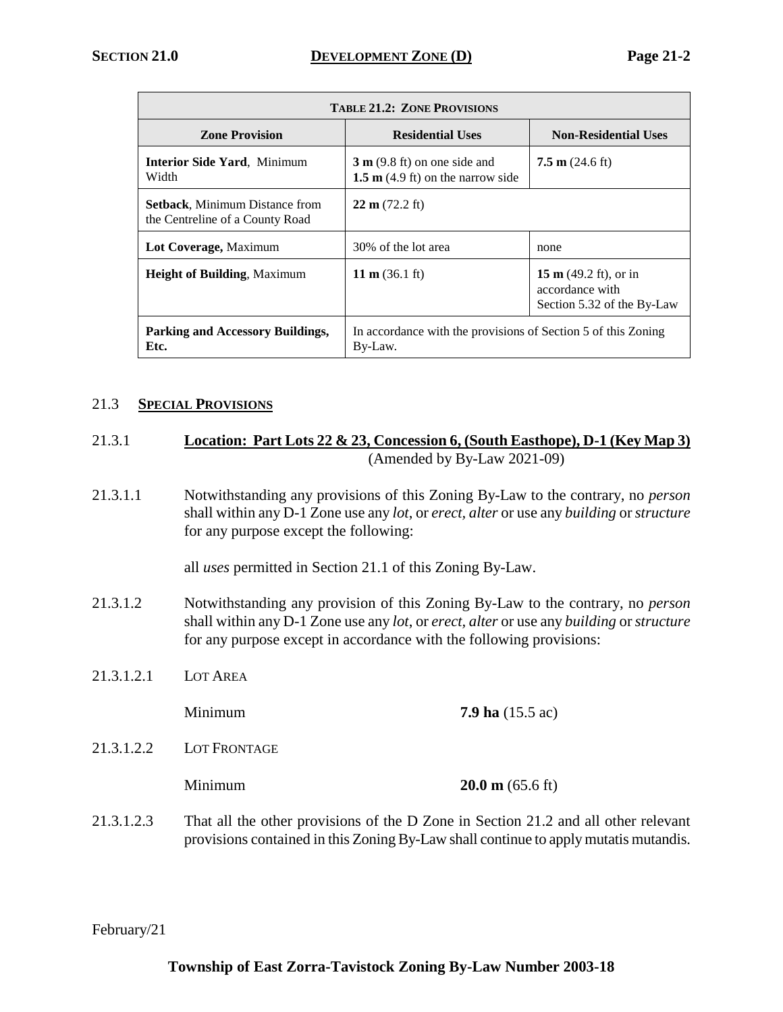| <b>TABLE 21.2: ZONE PROVISIONS</b>                                       |                                                                               |                                                                                   |  |  |
|--------------------------------------------------------------------------|-------------------------------------------------------------------------------|-----------------------------------------------------------------------------------|--|--|
| <b>Zone Provision</b>                                                    | <b>Residential Uses</b>                                                       | <b>Non-Residential Uses</b>                                                       |  |  |
| <b>Interior Side Yard, Minimum</b><br>Width                              | $3 \text{ m}$ (9.8 ft) on one side and<br>1.5 $m$ (4.9 ft) on the narrow side | $7.5 \text{ m}$ (24.6 ft)                                                         |  |  |
| <b>Setback, Minimum Distance from</b><br>the Centreline of a County Road | $22 \text{ m} (72.2 \text{ ft})$                                              |                                                                                   |  |  |
| Lot Coverage, Maximum                                                    | 30% of the lot area                                                           | none                                                                              |  |  |
| <b>Height of Building, Maximum</b>                                       | 11 m $(36.1 \text{ ft})$                                                      | 15 m $(49.2 \text{ ft})$ , or in<br>accordance with<br>Section 5.32 of the By-Law |  |  |
| Parking and Accessory Buildings,<br>Etc.                                 | In accordance with the provisions of Section 5 of this Zoning<br>By-Law.      |                                                                                   |  |  |

### 21.3 **SPECIAL PROVISIONS**

## 21.3.1 **Location: Part Lots 22 & 23, Concession 6, (South Easthope), D-1 (Key Map 3)** (Amended by By-Law 2021-09)

21.3.1.1 Notwithstanding any provisions of this Zoning By-Law to the contrary, no *person* shall within any D-1 Zone use any *lot*, or *erect, alter* or use any *building* or *structure* for any purpose except the following:

all *uses* permitted in Section 21.1 of this Zoning By-Law.

- 21.3.1.2 Notwithstanding any provision of this Zoning By-Law to the contrary, no *person* shall within any D-1 Zone use any *lot*, or *erect, alter* or use any *building* or *structure* for any purpose except in accordance with the following provisions:
- 21.3.1.2.1 LOT AREA

**Minimum 7.9 ha** (15.5 ac)

21.3.1.2.2 LOT FRONTAGE

Minimum **20.0 m** (65.6 ft)

21.3.1.2.3 That all the other provisions of the D Zone in Section 21.2 and all other relevant provisions contained in this Zoning By-Law shall continue to apply mutatis mutandis.

February/21